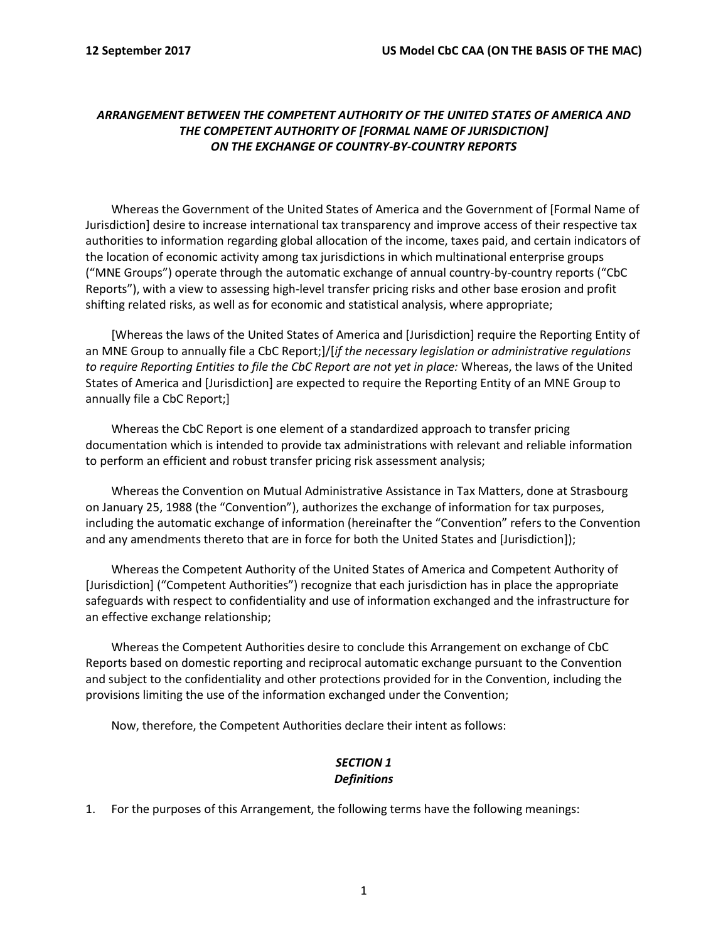## *ARRANGEMENT BETWEEN THE COMPETENT AUTHORITY OF THE UNITED STATES OF AMERICA AND THE COMPETENT AUTHORITY OF [FORMAL NAME OF JURISDICTION] ON THE EXCHANGE OF COUNTRY-BY-COUNTRY REPORTS*

Whereas the Government of the United States of America and the Government of [Formal Name of Jurisdiction] desire to increase international tax transparency and improve access of their respective tax authorities to information regarding global allocation of the income, taxes paid, and certain indicators of the location of economic activity among tax jurisdictions in which multinational enterprise groups ("MNE Groups") operate through the automatic exchange of annual country-by-country reports ("CbC Reports"), with a view to assessing high-level transfer pricing risks and other base erosion and profit shifting related risks, as well as for economic and statistical analysis, where appropriate;

[Whereas the laws of the United States of America and [Jurisdiction] require the Reporting Entity of an MNE Group to annually file a CbC Report;]/[*if the necessary legislation or administrative regulations to require Reporting Entities to file the CbC Report are not yet in place:* Whereas, the laws of the United States of America and [Jurisdiction] are expected to require the Reporting Entity of an MNE Group to annually file a CbC Report;]

Whereas the CbC Report is one element of a standardized approach to transfer pricing documentation which is intended to provide tax administrations with relevant and reliable information to perform an efficient and robust transfer pricing risk assessment analysis;

Whereas the Convention on Mutual Administrative Assistance in Tax Matters, done at Strasbourg on January 25, 1988 (the "Convention"), authorizes the exchange of information for tax purposes, including the automatic exchange of information (hereinafter the "Convention" refers to the Convention and any amendments thereto that are in force for both the United States and [Jurisdiction]);

Whereas the Competent Authority of the United States of America and Competent Authority of [Jurisdiction] ("Competent Authorities") recognize that each jurisdiction has in place the appropriate safeguards with respect to confidentiality and use of information exchanged and the infrastructure for an effective exchange relationship;

Whereas the Competent Authorities desire to conclude this Arrangement on exchange of CbC Reports based on domestic reporting and reciprocal automatic exchange pursuant to the Convention and subject to the confidentiality and other protections provided for in the Convention, including the provisions limiting the use of the information exchanged under the Convention;

Now, therefore, the Competent Authorities declare their intent as follows:

## *SECTION 1 Definitions*

1. For the purposes of this Arrangement, the following terms have the following meanings: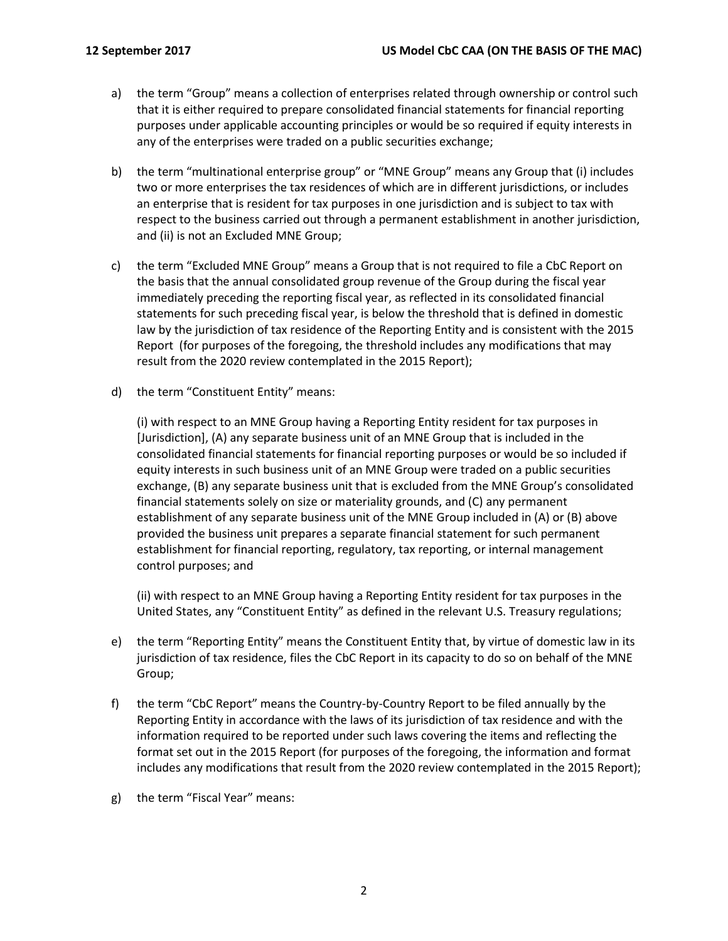- a) the term "Group" means a collection of enterprises related through ownership or control such that it is either required to prepare consolidated financial statements for financial reporting purposes under applicable accounting principles or would be so required if equity interests in any of the enterprises were traded on a public securities exchange;
- b) the term "multinational enterprise group" or "MNE Group" means any Group that (i) includes two or more enterprises the tax residences of which are in different jurisdictions, or includes an enterprise that is resident for tax purposes in one jurisdiction and is subject to tax with respect to the business carried out through a permanent establishment in another jurisdiction, and (ii) is not an Excluded MNE Group;
- c) the term "Excluded MNE Group" means a Group that is not required to file a CbC Report on the basis that the annual consolidated group revenue of the Group during the fiscal year immediately preceding the reporting fiscal year, as reflected in its consolidated financial statements for such preceding fiscal year, is below the threshold that is defined in domestic law by the jurisdiction of tax residence of the Reporting Entity and is consistent with the 2015 Report (for purposes of the foregoing, the threshold includes any modifications that may result from the 2020 review contemplated in the 2015 Report);
- d) the term "Constituent Entity" means:

(i) with respect to an MNE Group having a Reporting Entity resident for tax purposes in [Jurisdiction], (A) any separate business unit of an MNE Group that is included in the consolidated financial statements for financial reporting purposes or would be so included if equity interests in such business unit of an MNE Group were traded on a public securities exchange, (B) any separate business unit that is excluded from the MNE Group's consolidated financial statements solely on size or materiality grounds, and (C) any permanent establishment of any separate business unit of the MNE Group included in (A) or (B) above provided the business unit prepares a separate financial statement for such permanent establishment for financial reporting, regulatory, tax reporting, or internal management control purposes; and

(ii) with respect to an MNE Group having a Reporting Entity resident for tax purposes in the United States, any "Constituent Entity" as defined in the relevant U.S. Treasury regulations;

- e) the term "Reporting Entity" means the Constituent Entity that, by virtue of domestic law in its jurisdiction of tax residence, files the CbC Report in its capacity to do so on behalf of the MNE Group;
- f) the term "CbC Report" means the Country-by-Country Report to be filed annually by the Reporting Entity in accordance with the laws of its jurisdiction of tax residence and with the information required to be reported under such laws covering the items and reflecting the format set out in the 2015 Report (for purposes of the foregoing, the information and format includes any modifications that result from the 2020 review contemplated in the 2015 Report);
- g) the term "Fiscal Year" means: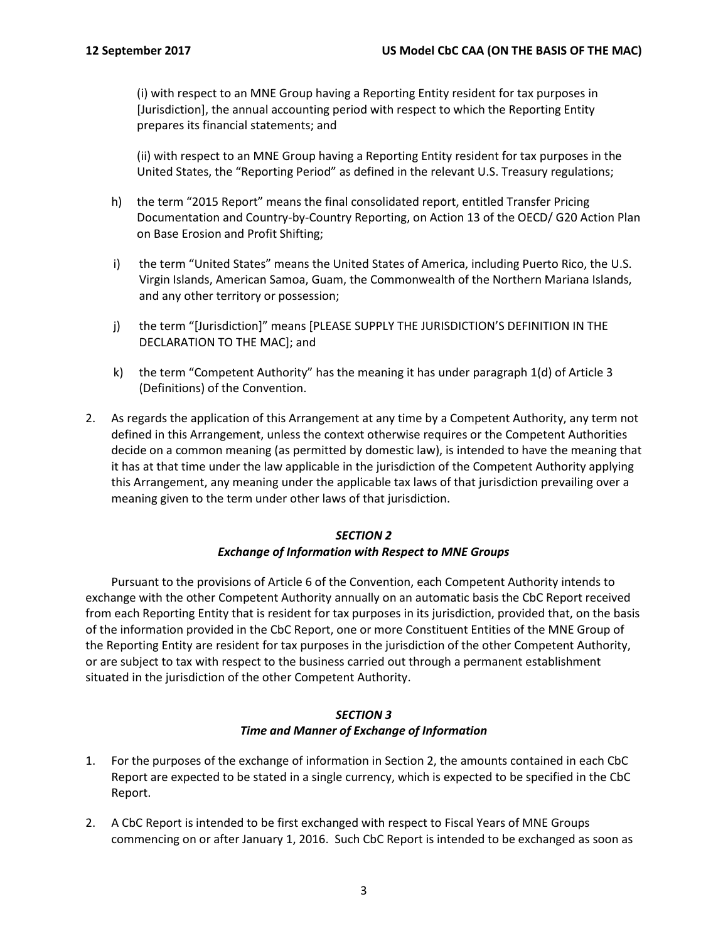(i) with respect to an MNE Group having a Reporting Entity resident for tax purposes in [Jurisdiction], the annual accounting period with respect to which the Reporting Entity prepares its financial statements; and

(ii) with respect to an MNE Group having a Reporting Entity resident for tax purposes in the United States, the "Reporting Period" as defined in the relevant U.S. Treasury regulations;

- h) the term "2015 Report" means the final consolidated report, entitled Transfer Pricing Documentation and Country-by-Country Reporting, on Action 13 of the OECD/ G20 Action Plan on Base Erosion and Profit Shifting;
- i) the term "United States" means the United States of America, including Puerto Rico, the U.S. Virgin Islands, American Samoa, Guam, the Commonwealth of the Northern Mariana Islands, and any other territory or possession;
- j) the term "[Jurisdiction]" means [PLEASE SUPPLY THE JURISDICTION'S DEFINITION IN THE DECLARATION TO THE MAC]; and
- k) the term "Competent Authority" has the meaning it has under paragraph 1(d) of Article 3 (Definitions) of the Convention.
- 2. As regards the application of this Arrangement at any time by a Competent Authority, any term not defined in this Arrangement, unless the context otherwise requires or the Competent Authorities decide on a common meaning (as permitted by domestic law), is intended to have the meaning that it has at that time under the law applicable in the jurisdiction of the Competent Authority applying this Arrangement, any meaning under the applicable tax laws of that jurisdiction prevailing over a meaning given to the term under other laws of that jurisdiction.

## *SECTION 2*

#### *Exchange of Information with Respect to MNE Groups*

Pursuant to the provisions of Article 6 of the Convention, each Competent Authority intends to exchange with the other Competent Authority annually on an automatic basis the CbC Report received from each Reporting Entity that is resident for tax purposes in its jurisdiction, provided that, on the basis of the information provided in the CbC Report, one or more Constituent Entities of the MNE Group of the Reporting Entity are resident for tax purposes in the jurisdiction of the other Competent Authority, or are subject to tax with respect to the business carried out through a permanent establishment situated in the jurisdiction of the other Competent Authority.

#### *SECTION 3 Time and Manner of Exchange of Information*

- 1. For the purposes of the exchange of information in Section 2, the amounts contained in each CbC Report are expected to be stated in a single currency, which is expected to be specified in the CbC Report.
- 2. A CbC Report is intended to be first exchanged with respect to Fiscal Years of MNE Groups commencing on or after January 1, 2016. Such CbC Report is intended to be exchanged as soon as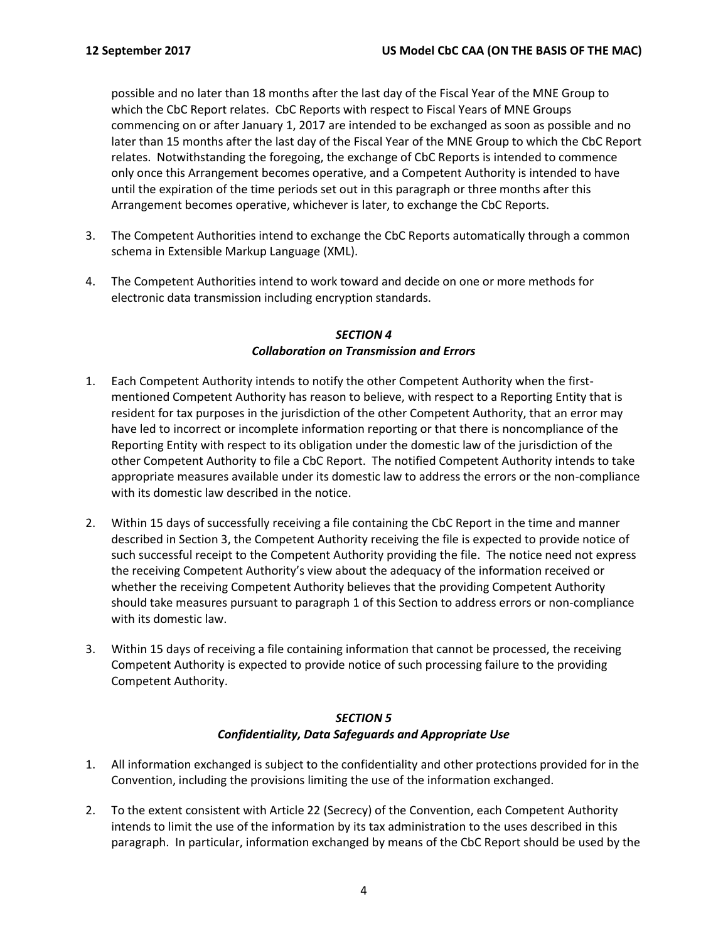possible and no later than 18 months after the last day of the Fiscal Year of the MNE Group to which the CbC Report relates. CbC Reports with respect to Fiscal Years of MNE Groups commencing on or after January 1, 2017 are intended to be exchanged as soon as possible and no later than 15 months after the last day of the Fiscal Year of the MNE Group to which the CbC Report relates. Notwithstanding the foregoing, the exchange of CbC Reports is intended to commence only once this Arrangement becomes operative, and a Competent Authority is intended to have until the expiration of the time periods set out in this paragraph or three months after this Arrangement becomes operative, whichever is later, to exchange the CbC Reports.

- 3. The Competent Authorities intend to exchange the CbC Reports automatically through a common schema in Extensible Markup Language (XML).
- 4. The Competent Authorities intend to work toward and decide on one or more methods for electronic data transmission including encryption standards.

#### *SECTION 4 Collaboration on Transmission and Errors*

- 1. Each Competent Authority intends to notify the other Competent Authority when the firstmentioned Competent Authority has reason to believe, with respect to a Reporting Entity that is resident for tax purposes in the jurisdiction of the other Competent Authority, that an error may have led to incorrect or incomplete information reporting or that there is noncompliance of the Reporting Entity with respect to its obligation under the domestic law of the jurisdiction of the other Competent Authority to file a CbC Report. The notified Competent Authority intends to take appropriate measures available under its domestic law to address the errors or the non-compliance with its domestic law described in the notice.
- 2. Within 15 days of successfully receiving a file containing the CbC Report in the time and manner described in Section 3, the Competent Authority receiving the file is expected to provide notice of such successful receipt to the Competent Authority providing the file. The notice need not express the receiving Competent Authority's view about the adequacy of the information received or whether the receiving Competent Authority believes that the providing Competent Authority should take measures pursuant to paragraph 1 of this Section to address errors or non-compliance with its domestic law.
- 3. Within 15 days of receiving a file containing information that cannot be processed, the receiving Competent Authority is expected to provide notice of such processing failure to the providing Competent Authority.

#### *SECTION 5 Confidentiality, Data Safeguards and Appropriate Use*

- 1. All information exchanged is subject to the confidentiality and other protections provided for in the Convention, including the provisions limiting the use of the information exchanged.
- 2. To the extent consistent with Article 22 (Secrecy) of the Convention, each Competent Authority intends to limit the use of the information by its tax administration to the uses described in this paragraph. In particular, information exchanged by means of the CbC Report should be used by the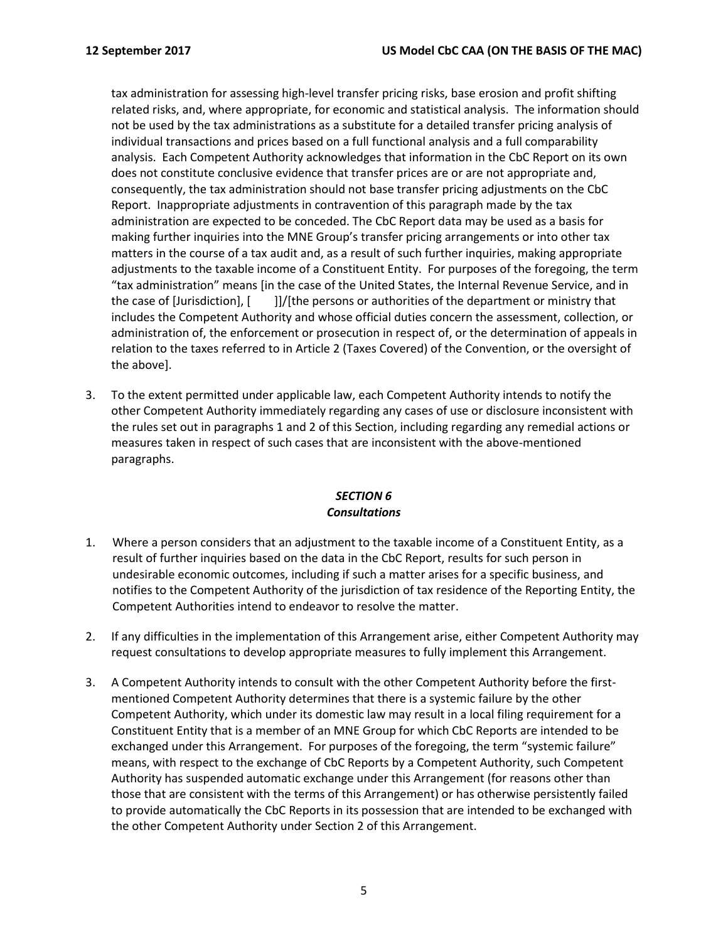tax administration for assessing high-level transfer pricing risks, base erosion and profit shifting related risks, and, where appropriate, for economic and statistical analysis. The information should not be used by the tax administrations as a substitute for a detailed transfer pricing analysis of individual transactions and prices based on a full functional analysis and a full comparability analysis. Each Competent Authority acknowledges that information in the CbC Report on its own does not constitute conclusive evidence that transfer prices are or are not appropriate and, consequently, the tax administration should not base transfer pricing adjustments on the CbC Report. Inappropriate adjustments in contravention of this paragraph made by the tax administration are expected to be conceded. The CbC Report data may be used as a basis for making further inquiries into the MNE Group's transfer pricing arrangements or into other tax matters in the course of a tax audit and, as a result of such further inquiries, making appropriate adjustments to the taxable income of a Constituent Entity. For purposes of the foregoing, the term "tax administration" means [in the case of the United States, the Internal Revenue Service, and in the case of [Jurisdiction], [ ]]/[the persons or authorities of the department or ministry that includes the Competent Authority and whose official duties concern the assessment, collection, or administration of, the enforcement or prosecution in respect of, or the determination of appeals in relation to the taxes referred to in Article 2 (Taxes Covered) of the Convention, or the oversight of the above].

3. To the extent permitted under applicable law, each Competent Authority intends to notify the other Competent Authority immediately regarding any cases of use or disclosure inconsistent with the rules set out in paragraphs 1 and 2 of this Section, including regarding any remedial actions or measures taken in respect of such cases that are inconsistent with the above-mentioned paragraphs.

# *SECTION 6 Consultations*

- 1. Where a person considers that an adjustment to the taxable income of a Constituent Entity, as a result of further inquiries based on the data in the CbC Report, results for such person in undesirable economic outcomes, including if such a matter arises for a specific business, and notifies to the Competent Authority of the jurisdiction of tax residence of the Reporting Entity, the Competent Authorities intend to endeavor to resolve the matter.
- 2. If any difficulties in the implementation of this Arrangement arise, either Competent Authority may request consultations to develop appropriate measures to fully implement this Arrangement.
- 3. A Competent Authority intends to consult with the other Competent Authority before the firstmentioned Competent Authority determines that there is a systemic failure by the other Competent Authority, which under its domestic law may result in a local filing requirement for a Constituent Entity that is a member of an MNE Group for which CbC Reports are intended to be exchanged under this Arrangement. For purposes of the foregoing, the term "systemic failure" means, with respect to the exchange of CbC Reports by a Competent Authority, such Competent Authority has suspended automatic exchange under this Arrangement (for reasons other than those that are consistent with the terms of this Arrangement) or has otherwise persistently failed to provide automatically the CbC Reports in its possession that are intended to be exchanged with the other Competent Authority under Section 2 of this Arrangement.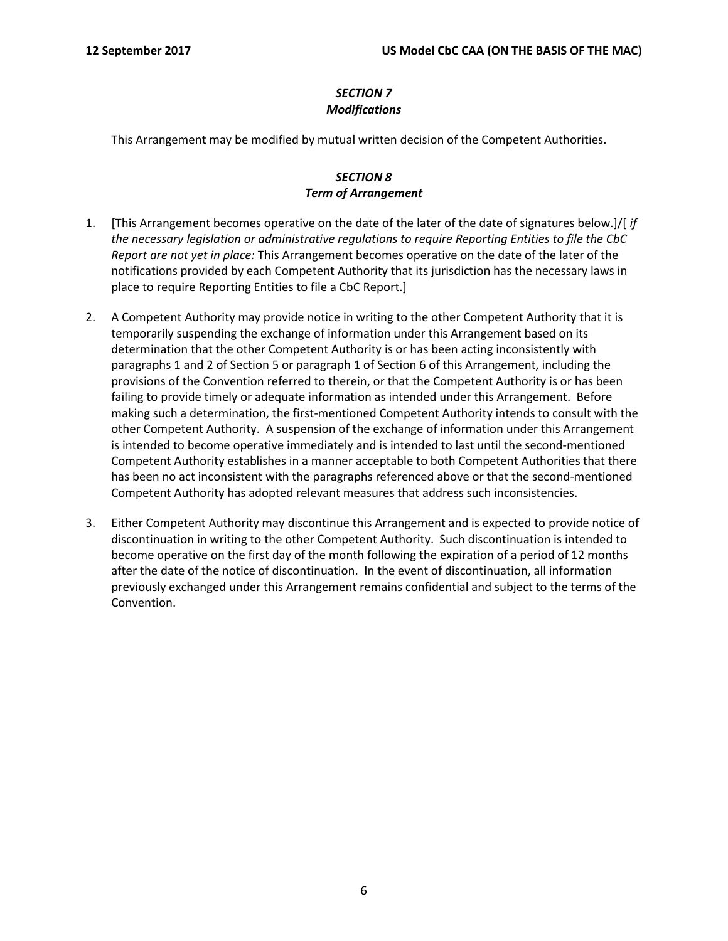# *SECTION 7 Modifications*

This Arrangement may be modified by mutual written decision of the Competent Authorities.

## *SECTION 8 Term of Arrangement*

- 1. [This Arrangement becomes operative on the date of the later of the date of signatures below.]/[ *if the necessary legislation or administrative regulations to require Reporting Entities to file the CbC Report are not yet in place:* This Arrangement becomes operative on the date of the later of the notifications provided by each Competent Authority that its jurisdiction has the necessary laws in place to require Reporting Entities to file a CbC Report.]
- 2. A Competent Authority may provide notice in writing to the other Competent Authority that it is temporarily suspending the exchange of information under this Arrangement based on its determination that the other Competent Authority is or has been acting inconsistently with paragraphs 1 and 2 of Section 5 or paragraph 1 of Section 6 of this Arrangement, including the provisions of the Convention referred to therein, or that the Competent Authority is or has been failing to provide timely or adequate information as intended under this Arrangement. Before making such a determination, the first-mentioned Competent Authority intends to consult with the other Competent Authority. A suspension of the exchange of information under this Arrangement is intended to become operative immediately and is intended to last until the second-mentioned Competent Authority establishes in a manner acceptable to both Competent Authorities that there has been no act inconsistent with the paragraphs referenced above or that the second-mentioned Competent Authority has adopted relevant measures that address such inconsistencies.
- 3. Either Competent Authority may discontinue this Arrangement and is expected to provide notice of discontinuation in writing to the other Competent Authority. Such discontinuation is intended to become operative on the first day of the month following the expiration of a period of 12 months after the date of the notice of discontinuation. In the event of discontinuation, all information previously exchanged under this Arrangement remains confidential and subject to the terms of the Convention.